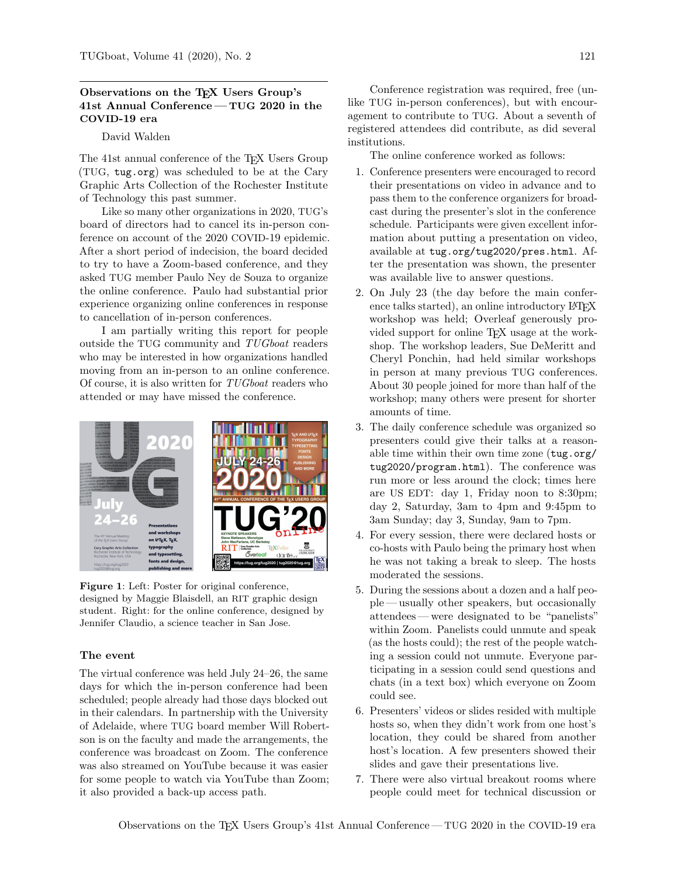# Observations on the TEX Users Group's 41st Annual Conference— TUG 2020 in the COVID-19 era

# David Walden

The 41st annual conference of the TEX Users Group (TUG, tug.org) was scheduled to be at the Cary Graphic Arts Collection of the Rochester Institute of Technology this past summer.

Like so many other organizations in 2020, TUG's board of directors had to cancel its in-person conference on account of the 2020 COVID-19 epidemic. After a short period of indecision, the board decided to try to have a Zoom-based conference, and they asked TUG member Paulo Ney de Souza to organize the online conference. Paulo had substantial prior experience organizing online conferences in response to cancellation of in-person conferences.

I am partially writing this report for people outside the TUG community and TUGboat readers who may be interested in how organizations handled moving from an in-person to an online conference. Of course, it is also written for TUGboat readers who attended or may have missed the conference.



Figure 1: Left: Poster for original conference, designed by Maggie Blaisdell, an RIT graphic design student. Right: for the online conference, designed by Jennifer Claudio, a science teacher in San Jose.

#### The event

The virtual conference was held July 24–26, the same days for which the in-person conference had been scheduled; people already had those days blocked out in their calendars. In partnership with the University of Adelaide, where TUG board member Will Robertson is on the faculty and made the arrangements, the conference was broadcast on Zoom. The conference was also streamed on YouTube because it was easier for some people to watch via YouTube than Zoom; it also provided a back-up access path.

Conference registration was required, free (unlike TUG in-person conferences), but with encouragement to contribute to TUG. About a seventh of registered attendees did contribute, as did several institutions.

The online conference worked as follows:

- 1. Conference presenters were encouraged to record their presentations on video in advance and to pass them to the conference organizers for broadcast during the presenter's slot in the conference schedule. Participants were given excellent information about putting a presentation on video, available at tug.org/tug2020/pres.html. After the presentation was shown, the presenter was available live to answer questions.
- 2. On July 23 (the day before the main conference talks started), an online introductory LAT<sub>EX</sub> workshop was held; Overleaf generously provided support for online TEX usage at the workshop. The workshop leaders, Sue DeMeritt and Cheryl Ponchin, had held similar workshops in person at many previous TUG conferences. About 30 people joined for more than half of the workshop; many others were present for shorter amounts of time.
- 3. The daily conference schedule was organized so presenters could give their talks at a reasonable time within their own time zone (tug.org/ tug2020/program.html). The conference was run more or less around the clock; times here are US EDT: day 1, Friday noon to 8:30pm; day 2, Saturday, 3am to 4pm and 9:45pm to 3am Sunday; day 3, Sunday, 9am to 7pm.
- 4. For every session, there were declared hosts or co-hosts with Paulo being the primary host when he was not taking a break to sleep. The hosts moderated the sessions.
- 5. During the sessions about a dozen and a half people— usually other speakers, but occasionally attendees— were designated to be "panelists" within Zoom. Panelists could unmute and speak (as the hosts could); the rest of the people watching a session could not unmute. Everyone participating in a session could send questions and chats (in a text box) which everyone on Zoom could see.
- 6. Presenters' videos or slides resided with multiple hosts so, when they didn't work from one host's location, they could be shared from another host's location. A few presenters showed their slides and gave their presentations live.
- 7. There were also virtual breakout rooms where people could meet for technical discussion or